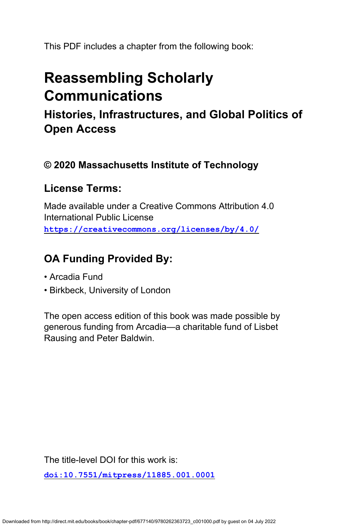This PDF includes a chapter from the following book:

# **Reassembling Scholarly Communications**

**Histories, Infrastructures, and Global Politics of Open Access**

## **© 2020 Massachusetts Institute of Technology**

## **License Terms:**

Made available under a Creative Commons Attribution 4.0 International Public License **<https://creativecommons.org/licenses/by/4.0/>**

# **OA Funding Provided By:**

- Arcadia Fund
- Birkbeck, University of London

The open access edition of this book was made possible by generous funding from Arcadia—a charitable fund of Lisbet Rausing and Peter Baldwin.

The title-level DOI for this work is:

**[doi:10.7551/mitpress/11885.001.0001](https://doi.org/10.7551/mitpress/11885.001.0001)**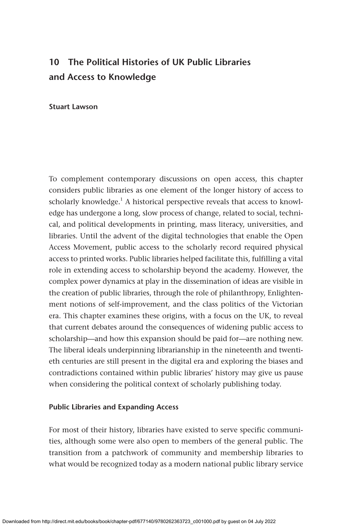# **10 The Political Histories of UK Public Libraries and Access to Knowledge**

#### **Stuart Lawson**

To complement contemporary discussions on open access, this chapter considers public libraries as one element of the longer history of access to scholarly knowledge.<sup>1</sup> A historical perspective reveals that access to knowledge has undergone a long, slow process of change, related to social, technical, and political developments in printing, mass literacy, universities, and libraries. Until the advent of the digital technologies that enable the Open Access Movement, public access to the scholarly record required physical access to printed works. Public libraries helped facilitate this, fulfilling a vital role in extending access to scholarship beyond the academy. However, the complex power dynamics at play in the dissemination of ideas are visible in the creation of public libraries, through the role of philanthropy, Enlightenment notions of self-improvement, and the class politics of the Victorian era. This chapter examines these origins, with a focus on the UK, to reveal that current debates around the consequences of widening public access to scholarship—and how this expansion should be paid for—are nothing new. The liberal ideals underpinning librarianship in the nineteenth and twentieth centuries are still present in the digital era and exploring the biases and contradictions contained within public libraries' history may give us pause when considering the political context of scholarly publishing today.

#### **Public Libraries and Expanding Access**

For most of their history, libraries have existed to serve specific communities, although some were also open to members of the general public. The transition from a patchwork of community and membership libraries to what would be recognized today as a modern national public library service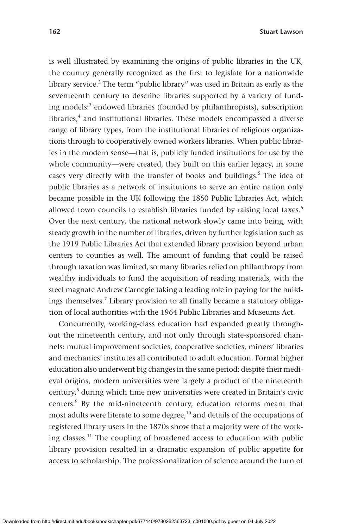is well illustrated by examining the origins of public libraries in the UK, the country generally recognized as the first to legislate for a nationwide library service.<sup>2</sup> The term "public library" was used in Britain as early as the seventeenth century to describe libraries supported by a variety of funding models:<sup>3</sup> endowed libraries (founded by philanthropists), subscription libraries,<sup>4</sup> and institutional libraries. These models encompassed a diverse range of library types, from the institutional libraries of religious organizations through to cooperatively owned workers libraries. When public libraries in the modern sense—that is, publicly funded institutions for use by the whole community—were created, they built on this earlier legacy, in some cases very directly with the transfer of books and buildings.<sup>5</sup> The idea of public libraries as a network of institutions to serve an entire nation only became possible in the UK following the 1850 Public Libraries Act, which allowed town councils to establish libraries funded by raising local taxes.<sup>6</sup> Over the next century, the national network slowly came into being, with steady growth in the number of libraries, driven by further legislation such as the 1919 Public Libraries Act that extended library provision beyond urban centers to counties as well. The amount of funding that could be raised through taxation was limited, so many libraries relied on philanthropy from wealthy individuals to fund the acquisition of reading materials, with the steel magnate Andrew Carnegie taking a leading role in paying for the buildings themselves.<sup>7</sup> Library provision to all finally became a statutory obligation of local authorities with the 1964 Public Libraries and Museums Act.

Concurrently, working-class education had expanded greatly throughout the nineteenth century, and not only through state-sponsored channels: mutual improvement societies, cooperative societies, miners' libraries and mechanics' institutes all contributed to adult education. Formal higher education also underwent big changes in the same period: despite their medieval origins, modern universities were largely a product of the nineteenth century,<sup>8</sup> during which time new universities were created in Britain's civic centers.<sup>9</sup> By the mid-nineteenth century, education reforms meant that most adults were literate to some degree, $10$  and details of the occupations of registered library users in the 1870s show that a majority were of the working classes.<sup>11</sup> The coupling of broadened access to education with public library provision resulted in a dramatic expansion of public appetite for access to scholarship. The professionalization of science around the turn of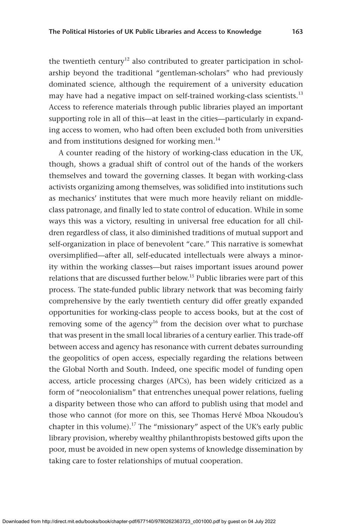the twentieth century<sup>12</sup> also contributed to greater participation in scholarship beyond the traditional "gentleman-scholars" who had previously dominated science, although the requirement of a university education may have had a negative impact on self-trained working-class scientists.<sup>13</sup> Access to reference materials through public libraries played an important supporting role in all of this—at least in the cities—particularly in expanding access to women, who had often been excluded both from universities and from institutions designed for working men. $^{14}$ 

A counter reading of the history of working-class education in the UK, though, shows a gradual shift of control out of the hands of the workers themselves and toward the governing classes. It began with working-class activists organizing among themselves, was solidified into institutions such as mechanics' institutes that were much more heavily reliant on middleclass patronage, and finally led to state control of education. While in some ways this was a victory, resulting in universal free education for all children regardless of class, it also diminished traditions of mutual support and self-organization in place of benevolent "care." This narrative is somewhat oversimplified—after all, self-educated intellectuals were always a minority within the working classes—but raises important issues around power relations that are discussed further below.<sup>15</sup> Public libraries were part of this process. The state-funded public library network that was becoming fairly comprehensive by the early twentieth century did offer greatly expanded opportunities for working-class people to access books, but at the cost of removing some of the agency<sup>16</sup> from the decision over what to purchase that was present in the small local libraries of a century earlier. This trade-off between access and agency has resonance with current debates surrounding the geopolitics of open access, especially regarding the relations between the Global North and South. Indeed, one specific model of funding open access, article processing charges (APCs), has been widely criticized as a form of "neocolonialism" that entrenches unequal power relations, fueling a disparity between those who can afford to publish using that model and those who cannot (for more on this, see Thomas Hervé Mboa Nkoudou's chapter in this volume).<sup>17</sup> The "missionary" aspect of the UK's early public library provision, whereby wealthy philanthropists bestowed gifts upon the poor, must be avoided in new open systems of knowledge dissemination by taking care to foster relationships of mutual cooperation.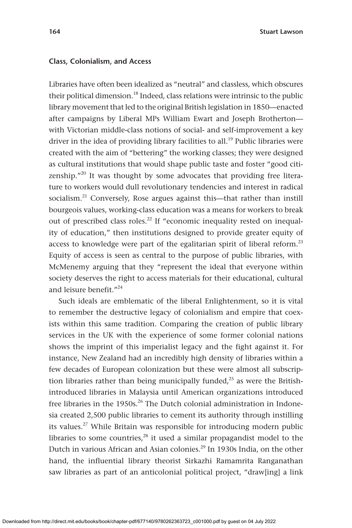#### **Class, Colonialism, and Access**

Libraries have often been idealized as "neutral" and classless, which obscures their political dimension.<sup>18</sup> Indeed, class relations were intrinsic to the public library movement that led to the original British legislation in 1850—enacted after campaigns by Liberal MPs William Ewart and Joseph Brotherton with Victorian middle-class notions of social- and self-improvement a key driver in the idea of providing library facilities to all.<sup>19</sup> Public libraries were created with the aim of "bettering" the working classes; they were designed as cultural institutions that would shape public taste and foster "good citizenship. $120$  It was thought by some advocates that providing free literature to workers would dull revolutionary tendencies and interest in radical socialism.<sup>21</sup> Conversely, Rose argues against this—that rather than instill bourgeois values, working-class education was a means for workers to break out of prescribed class roles.<sup>22</sup> If "economic inequality rested on inequality of education," then institutions designed to provide greater equity of access to knowledge were part of the egalitarian spirit of liberal reform.<sup>23</sup> Equity of access is seen as central to the purpose of public libraries, with McMenemy arguing that they "represent the ideal that everyone within society deserves the right to access materials for their educational, cultural and leisure benefit."24

Such ideals are emblematic of the liberal Enlightenment, so it is vital to remember the destructive legacy of colonialism and empire that coexists within this same tradition. Comparing the creation of public library services in the UK with the experience of some former colonial nations shows the imprint of this imperialist legacy and the fight against it. For instance, New Zealand had an incredibly high density of libraries within a few decades of European colonization but these were almost all subscription libraries rather than being municipally funded, $^{25}$  as were the Britishintroduced libraries in Malaysia until American organizations introduced free libraries in the 1950s.<sup>26</sup> The Dutch colonial administration in Indonesia created 2,500 public libraries to cement its authority through instilling its values.<sup>27</sup> While Britain was responsible for introducing modern public libraries to some countries, $28$  it used a similar propagandist model to the Dutch in various African and Asian colonies.<sup>29</sup> In 1930s India, on the other hand, the influential library theorist Sirkazhi Ramamrita Ranganathan saw libraries as part of an anticolonial political project, "draw[ing] a link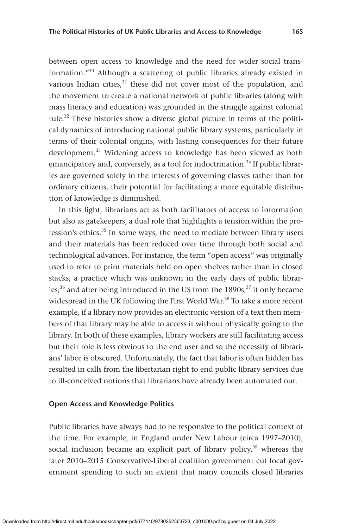between open access to knowledge and the need for wider social transformation."30 Although a scattering of public libraries already existed in various Indian cities, $31$  these did not cover most of the population, and the movement to create a national network of public libraries (along with mass literacy and education) was grounded in the struggle against colonial rule.<sup>32</sup> These histories show a diverse global picture in terms of the political dynamics of introducing national public library systems, particularly in terms of their colonial origins, with lasting consequences for their future development.<sup>33</sup> Widening access to knowledge has been viewed as both emancipatory and, conversely, as a tool for indoctrination.<sup>34</sup> If public libraries are governed solely in the interests of governing classes rather than for ordinary citizens, their potential for facilitating a more equitable distribution of knowledge is diminished.

In this light, librarians act as both facilitators of access to information but also as gatekeepers, a dual role that highlights a tension within the profession's ethics.<sup>35</sup> In some ways, the need to mediate between library users and their materials has been reduced over time through both social and technological advances. For instance, the term "open access" was originally used to refer to print materials held on open shelves rather than in closed stacks, a practice which was unknown in the early days of public libraries;<sup>36</sup> and after being introduced in the US from the  $1890s$ ,<sup>37</sup> it only became widespread in the UK following the First World War.<sup>38</sup> To take a more recent example, if a library now provides an electronic version of a text then members of that library may be able to access it without physically going to the library. In both of these examples, library workers are still facilitating access but their role is less obvious to the end user and so the necessity of librarians' labor is obscured. Unfortunately, the fact that labor is often hidden has resulted in calls from the libertarian right to end public library services due to ill-conceived notions that librarians have already been automated out.

#### **Open Access and Knowledge Politics**

Public libraries have always had to be responsive to the political context of the time. For example, in England under New Labour (circa 1997–2010), social inclusion became an explicit part of library policy, $39$  whereas the later 2010–2015 Conservative-Liberal coalition government cut local government spending to such an extent that many councils closed libraries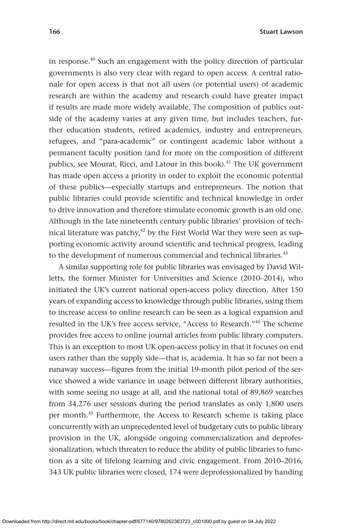in response.<sup>40</sup> Such an engagement with the policy direction of particular governments is also very clear with regard to open access. A central rationale for open access is that not all users (or potential users) of academic research are within the academy and research could have greater impact if results are made more widely available. The composition of publics outside of the academy varies at any given time, but includes teachers, further education students, retired academics, industry and entrepreneurs, refugees, and "para-academic" or contingent academic labor without a permanent faculty position (and for more on the composition of different publics, see Mourat, Ricci, and Latour in this book).<sup>41</sup> The UK government has made open access a priority in order to exploit the economic potential of these publics—especially startups and entrepreneurs. The notion that public libraries could provide scientific and technical knowledge in order to drive innovation and therefore stimulate economic growth is an old one. Although in the late nineteenth century public libraries' provision of technical literature was patchy, $42$  by the First World War they were seen as supporting economic activity around scientific and technical progress, leading to the development of numerous commercial and technical libraries.<sup>43</sup>

A similar supporting role for public libraries was envisaged by David Willetts, the former Minister for Universities and Science (2010–2014), who initiated the UK's current national open-access policy direction. After 150 years of expanding access to knowledge through public libraries, using them to increase access to online research can be seen as a logical expansion and resulted in the UK's free access service, "Access to Research."<sup>44</sup> The scheme provides free access to online journal articles from public library computers. This is an exception to most UK open-access policy in that it focuses on end users rather than the supply side—that is, academia. It has so far not been a runaway success—figures from the initial 19-month pilot period of the service showed a wide variance in usage between different library authorities, with some seeing no usage at all, and the national total of 89,869 searches from 34,276 user sessions during the period translates as only 1,800 users per month.45 Furthermore, the Access to Research scheme is taking place concurrently with an unprecedented level of budgetary cuts to public library provision in the UK, alongside ongoing commercialization and deprofessionalization, which threaten to reduce the ability of public libraries to function as a site of lifelong learning and civic engagement. From 2010–2016, 343 UK public libraries were closed, 174 were deprofessionalized by handing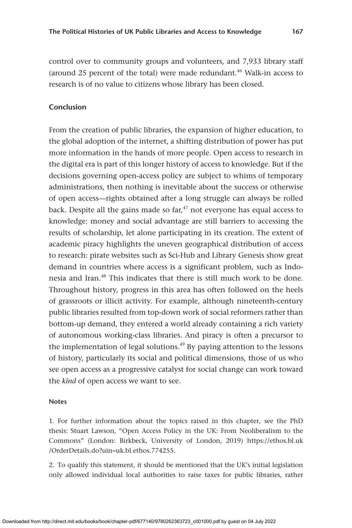control over to community groups and volunteers, and 7,933 library staff (around 25 percent of the total) were made redundant.<sup>46</sup> Walk-in access to research is of no value to citizens whose library has been closed.

#### **Conclusion**

From the creation of public libraries, the expansion of higher education, to the global adoption of the internet, a shifting distribution of power has put more information in the hands of more people. Open access to research in the digital era is part of this longer history of access to knowledge. But if the decisions governing open-access policy are subject to whims of temporary administrations, then nothing is inevitable about the success or otherwise of open access—rights obtained after a long struggle can always be rolled back. Despite all the gains made so  $far<sup>47</sup>$  not everyone has equal access to knowledge: money and social advantage are still barriers to accessing the results of scholarship, let alone participating in its creation. The extent of academic piracy highlights the uneven geographical distribution of access to research: pirate websites such as Sci-Hub and Library Genesis show great demand in countries where access is a significant problem, such as Indonesia and Iran.<sup>48</sup> This indicates that there is still much work to be done. Throughout history, progress in this area has often followed on the heels of grassroots or illicit activity. For example, although nineteenth-century public libraries resulted from top-down work of social reformers rather than bottom-up demand, they entered a world already containing a rich variety of autonomous working-class libraries. And piracy is often a precursor to the implementation of legal solutions. $49$  By paying attention to the lessons of history, particularly its social and political dimensions, those of us who see open access as a progressive catalyst for social change can work toward the *kind* of open access we want to see.

#### **Notes**

1. For further information about the topics raised in this chapter, see the PhD thesis: Stuart Lawson, "Open Access Policy in the UK: From Neoliberalism to the Commons" (London: Birkbeck, University of London, 2019) [https://ethos.bl.uk](https://ethos.bl.uk/OrderDetails.do?uin=uk.bl.ethos.774255) [/OrderDetails.do?uin](https://ethos.bl.uk/OrderDetails.do?uin=uk.bl.ethos.774255)=uk.bl.ethos.774255.

2. To qualify this statement, it should be mentioned that the UK's initial legislation only allowed individual local authorities to raise taxes for public libraries, rather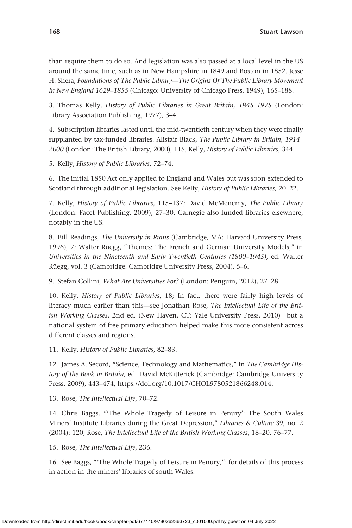than require them to do so. And legislation was also passed at a local level in the US around the same time, such as in New Hampshire in 1849 and Boston in 1852. Jesse H. Shera, *Foundations of The Public Library—The Origins Of The Public Library Movement In New England 1629–1855* (Chicago: University of Chicago Press, 1949), 165–188.

3. Thomas Kelly, *History of Public Libraries in Great Britain, 1845–1975* (London: Library Association Publishing, 1977), 3–4.

4. Subscription libraries lasted until the mid-twentieth century when they were finally supplanted by tax-funded libraries. Alistair Black, *The Public Library in Britain, 1914– 2000* (London: The British Library, 2000), 115; Kelly, *History of Public Libraries*, 344.

5. Kelly, *History of Public Libraries*, 72–74.

6. The initial 1850 Act only applied to England and Wales but was soon extended to Scotland through additional legislation. See Kelly, *History of Public Libraries*, 20–22.

7. Kelly, *History of Public Libraries*, 115–137; David McMenemy, *The Public Library* (London: Facet Publishing, 2009), 27–30. Carnegie also funded libraries elsewhere, notably in the US.

8. Bill Readings, *The University in Ruins* (Cambridge, MA: Harvard University Press, 1996), 7; Walter Rüegg, "Themes: The French and German University Models," in *Universities in the Nineteenth and Early Twentieth Centuries (1800–1945)*, ed. Walter Rüegg, vol. 3 (Cambridge: Cambridge University Press, 2004), 5–6.

9. Stefan Collini, *What Are Universities For?* (London: Penguin, 2012), 27–28.

10. Kelly, *History of Public Libraries*, 18; In fact, there were fairly high levels of literacy much earlier than this—see Jonathan Rose, *The Intellectual Life of the British Working Classes*, 2nd ed. (New Haven, CT: Yale University Press, 2010)—but a national system of free primary education helped make this more consistent across different classes and regions.

11. Kelly, *History of Public Libraries*, 82–83.

12. James A. Secord, "Science, Technology and Mathematics," in *The Cambridge History of the Book in Britain*, ed. David McKitterick (Cambridge: Cambridge University Press, 2009), 443–474,<https://doi.org/10.1017/CHOL9780521866248.014>.

13. Rose, *The Intellectual Life*, 70–72.

14. Chris Baggs, "'The Whole Tragedy of Leisure in Penury': The South Wales Miners' Institute Libraries during the Great Depression," *Libraries & Culture* 39, no. 2 (2004): 120; Rose, *The Intellectual Life of the British Working Classes*, 18–20, 76–77.

15. Rose, *The Intellectual Life*, 236.

16. See Baggs, "'The Whole Tragedy of Leisure in Penury,"' for details of this process in action in the miners' libraries of south Wales.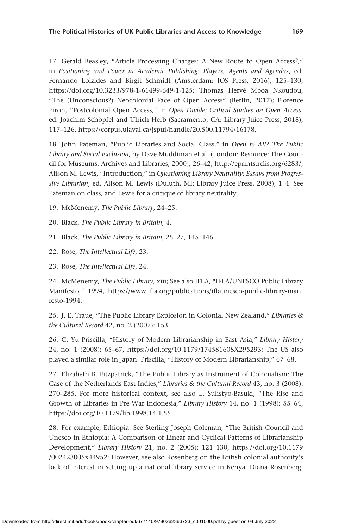17. Gerald Beasley, "Article Processing Charges: A New Route to Open Access?," in *Positioning and Power in Academic Publishing: Players, Agents and Agendas*, ed. Fernando Loizides and Birgit Schmidt (Amsterdam: IOS Press, 2016), 125–130, <https://doi.org/10.3233/978-1-61499-649-1-125>; Thomas Hervé Mboa Nkoudou, "The (Unconscious?) Neocolonial Face of Open Access" (Berlin, 2017); Florence Piron, "Postcolonial Open Access," in *Open Divide: Critical Studies on Open Access*, ed. Joachim Schöpfel and Ulrich Herb (Sacramento, CA: Library Juice Press, 2018), 117–126,<https://corpus.ulaval.ca/jspui/handle/20.500.11794/16178>.

18. John Pateman, "Public Libraries and Social Class," in *Open to All? The Public Library and Social Exclusion*, by Dave Muddiman et al. (London: Resource: The Council for Museums, Archives and Libraries, 2000), 26–42, [http://eprints.rclis.org/6283/;](http://eprints.rclis.org/6283/) Alison M. Lewis, "Introduction," in *Questioning Library Neutrality: Essays from Progressive Librarian*, ed. Alison M. Lewis (Duluth, MI: Library Juice Press, 2008), 1–4. See Pateman on class, and Lewis for a critique of library neutrality.

19. McMenemy, *The Public Library*, 24–25.

- 20. Black, *The Public Library in Britain*, 4.
- 21. Black, *The Public Library in Britain*, 25–27, 145–146.
- 22. Rose, *The Intellectual Life*, 23.
- 23. Rose, *The Intellectual Life*, 24.

24. McMenemy, *The Public Library*, xiii; See also IFLA, "IFLA/UNESCO Public Library Manifesto," 1994, [https://www.ifla.org/publications/iflaunesco-public-library-mani](https://www.ifla.org/publications/iflaunesco-public-library-manifesto-1994) [festo-1994.](https://www.ifla.org/publications/iflaunesco-public-library-manifesto-1994)

25. J. E. Traue, "The Public Library Explosion in Colonial New Zealand," *Libraries & the Cultural Record* 42, no. 2 (2007): 153.

26. C. Yu Priscilla, "History of Modern Librarianship in East Asia," *Library History* 24, no. 1 (2008): 65–67, [https://doi.org/10.1179/174581608X295293;](https://doi.org/10.1179/174581608X295293) The US also played a similar role in Japan. Priscilla, "History of Modern Librarianship," 67–68.

27. Elizabeth B. Fitzpatrick, "The Public Library as Instrument of Colonialism: The Case of the Netherlands East Indies," *Libraries & the Cultural Record* 43, no. 3 (2008): 270–285. For more historical context, see also L. Sulistyo-Basuki, "The Rise and Growth of Libraries in Pre-War Indonesia," *Library History* 14, no. 1 (1998): 55–64, [https://doi.org/10.1179/lib.1998.14.1.55.](https://doi.org/10.1179/lib.1998.14.1.55)

28. For example, Ethiopia. See Sterling Joseph Coleman, "The British Council and Unesco in Ethiopia: A Comparison of Linear and Cyclical Patterns of Librarianship Development," *Library History* 21, no. 2 (2005): 121–130, [https://doi.org/10.1179](https://doi.org/10.1179/002423005x44952) [/002423005x44952;](https://doi.org/10.1179/002423005x44952) However, see also Rosenberg on the British colonial authority's lack of interest in setting up a national library service in Kenya. Diana Rosenberg,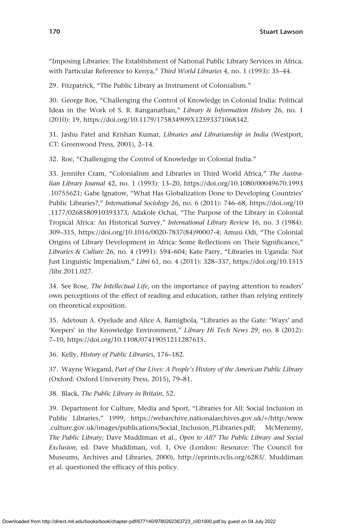"Imposing Libraries: The Establishment of National Public Library Services in Africa, with Particular Reference to Kenya," *Third World Libraries* 4, no. 1 (1993): 35–44.

29. Fitzpatrick, "The Public Library as Instrument of Colonialism."

30. George Roe, "Challenging the Control of Knowledge in Colonial India: Political Ideas in the Work of S. R. Ranganathan," *Library & Information History* 26, no. 1 (2010): 19,<https://doi.org/10.1179/175834909X12593371068342>.

31. Jashu Patel and Krishan Kumar, *Libraries and Librarianship in India* (Westport, CT: Greenwood Press, 2001), 2–14.

32. Roe, "Challenging the Control of Knowledge in Colonial India."

33. Jennifer Cram, "Colonialism and Libraries in Third World Africa," *The Australian Library Journal* 42, no. 1 (1993): 13–20, [https://doi.org/10.1080/00049670.1993](https://doi.org/10.1080/00049670.1993.10755621) [.10755621;](https://doi.org/10.1080/00049670.1993.10755621) Gabe Ignatow, "What Has Globalization Done to Developing Countries' Public Libraries?," *International Sociology* 26, no. 6 (2011): 746–68, [https://doi.org/10](https://doi.org/10.1177/0268580910393373) [.1177/0268580910393373](https://doi.org/10.1177/0268580910393373); Adakole Ochai, "The Purpose of the Library in Colonial Tropical Africa: An Historical Survey," *International Library Review* 16, no. 3 (1984): 309–315, [https://doi.org/10.1016/0020-7837\(84\)90007-4](https://doi.org/10.1016/0020-7837(84)90007-4); Amusi Odi, "The Colonial Origins of Library Development in Africa: Some Reflections on Their Significance," *Libraries & Culture* 26, no. 4 (1991): 594–604; Kate Parry, "Libraries in Uganda: Not Just Linguistic Imperialism," *Libri* 61, no. 4 (2011): 328–337, [https://doi.org/10.1515](https://doi.org/10.1515/libr.2011.027) [/libr.2011.027](https://doi.org/10.1515/libr.2011.027).

34. See Rose, *The Intellectual Life*, on the importance of paying attention to readers' own perceptions of the effect of reading and education, rather than relying entirely on theoretical exposition.

35. Adetoun A. Oyelude and Alice A. Bamigbola, "Libraries as the Gate: 'Ways' and 'Keepers' in the Knowledge Environment," *Library Hi Tech News* 29, no. 8 (2012): 7–10,<https://doi.org/10.1108/07419051211287615>.

36. Kelly, *History of Public Libraries*, 176–182.

37. Wayne Wiegand, *Part of Our Lives: A People's History of the American Public Library* (Oxford: Oxford University Press, 2015), 79–81.

38. Black, *The Public Library in Britain*, 52.

39. Department for Culture, Media and Sport, "Libraries for All: Social Inclusion in Public Libraries," 1999, [https://webarchive.nationalarchives.gov.uk/](https://webarchive.nationalarchives.gov.uk/+/http:/www.culture.gov.uk/images/publications/Social_Inclusion_PLibraries.pdf)+/http:/www [.culture.gov.uk/images/publications/Social\\_Inclusion\\_PLibraries.pdf](https://webarchive.nationalarchives.gov.uk/+/http:/www.culture.gov.uk/images/publications/Social_Inclusion_PLibraries.pdf); McMenemy, *The Public Library*; Dave Muddiman et al., *Open to All? The Public Library and Social Exclusion*, ed. Dave Muddiman, vol. 1, Ove (London: Resource: The Council for Museums, Archives and Libraries, 2000), [http://eprints.rclis.org/6283/.](http://eprints.rclis.org/6283/) Muddiman et al. questioned the efficacy of this policy.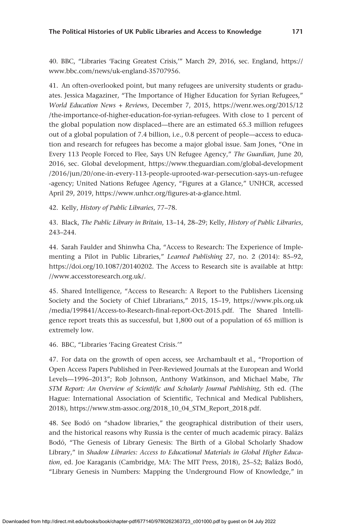40. BBC, "Libraries 'Facing Greatest Crisis,'" March 29, 2016, sec. England, [https://](https://www.bbc.com/news/uk-england-35707956) [www.bbc.com/news/uk-england-35707956](https://www.bbc.com/news/uk-england-35707956).

41. An often-overlooked point, but many refugees are university students or graduates. Jessica Magaziner, "The Importance of Higher Education for Syrian Refugees," *World Education News + Reviews*, December 7, 2015, [https://wenr.wes.org/2015/12](https://wenr.wes.org/2015/12/the-importance-of-higher-education-for-syrian-refugees) [/the-importance-of-higher-education-for-syrian-refugees](https://wenr.wes.org/2015/12/the-importance-of-higher-education-for-syrian-refugees). With close to 1 percent of the global population now displaced—there are an estimated 65.3 million refugees out of a global population of 7.4 billion, i.e., 0.8 percent of people—access to education and research for refugees has become a major global issue. Sam Jones, "One in Every 113 People Forced to Flee, Says UN Refugee Agency," *The Guardian*, June 20, 2016, sec. Global development, [https://www.theguardian.com/global-development](https://www.theguardian.com/global-development/2016/jun/20/one-in-every-113-people-uprooted-war-persecution-says-un-refugee-agency) [/2016/jun/20/one-in-every-113-people-uprooted-war-persecution-says-un-refugee](https://www.theguardian.com/global-development/2016/jun/20/one-in-every-113-people-uprooted-war-persecution-says-un-refugee-agency) [-agency](https://www.theguardian.com/global-development/2016/jun/20/one-in-every-113-people-uprooted-war-persecution-says-un-refugee-agency); United Nations Refugee Agency, "Figures at a Glance," UNHCR, accessed April 29, 2019, [https://www.unhcr.org/figures-at-a-glance.html.](https://www.unhcr.org/figures-at-a-glance.html)

42. Kelly, *History of Public Libraries*, 77–78.

43. Black, *The Public Library in Britain*, 13–14, 28–29; Kelly, *History of Public Libraries*, 243–244.

44. Sarah Faulder and Shinwha Cha, "Access to Research: The Experience of Implementing a Pilot in Public Libraries," *Learned Publishing* 27, no. 2 (2014): 85–92, [https://doi.org/10.1087/20140202.](https://doi.org/10.1087/20140202) The Access to Research site is available at [http:](http://www.accesstoresearch.org.uk/) [//www.accesstoresearch.org.uk/.](http://www.accesstoresearch.org.uk/)

45. Shared Intelligence, "Access to Research: A Report to the Publishers Licensing Society and the Society of Chief Librarians," 2015, 15–19, [https://www.pls.org.uk](https://www.pls.org.uk/media/199841/Access-to-Research-final-report-Oct-2015.pdf) [/media/199841/Access-to-Research-final-report-Oct-2015.pdf](https://www.pls.org.uk/media/199841/Access-to-Research-final-report-Oct-2015.pdf). The Shared Intelligence report treats this as successful, but 1,800 out of a population of 65 million is extremely low.

46. BBC, "Libraries 'Facing Greatest Crisis.'"

47. For data on the growth of open access, see Archambault et al., "Proportion of Open Access Papers Published in Peer-Reviewed Journals at the European and World Levels—1996–2013"; Rob Johnson, Anthony Watkinson, and Michael Mabe, *The STM Report: An Overview of Scientific and Scholarly Journal Publishing*, 5th ed. (The Hague: International Association of Scientific, Technical and Medical Publishers, 2018), [https://www.stm-assoc.org/2018\\_10\\_04\\_STM\\_Report\\_2018.pdf](https://www.stm-assoc.org/2018_10_04_STM_Report_2018.pdf).

48. See Bodó on "shadow libraries," the geographical distribution of their users, and the historical reasons why Russia is the center of much academic piracy. Balázs Bodó, "The Genesis of Library Genesis: The Birth of a Global Scholarly Shadow Library," in *Shadow Libraries: Access to Educational Materials in Global Higher Education*, ed. Joe Karaganis (Cambridge, MA: The MIT Press, 2018), 25–52; Balázs Bodó, "Library Genesis in Numbers: Mapping the Underground Flow of Knowledge," in